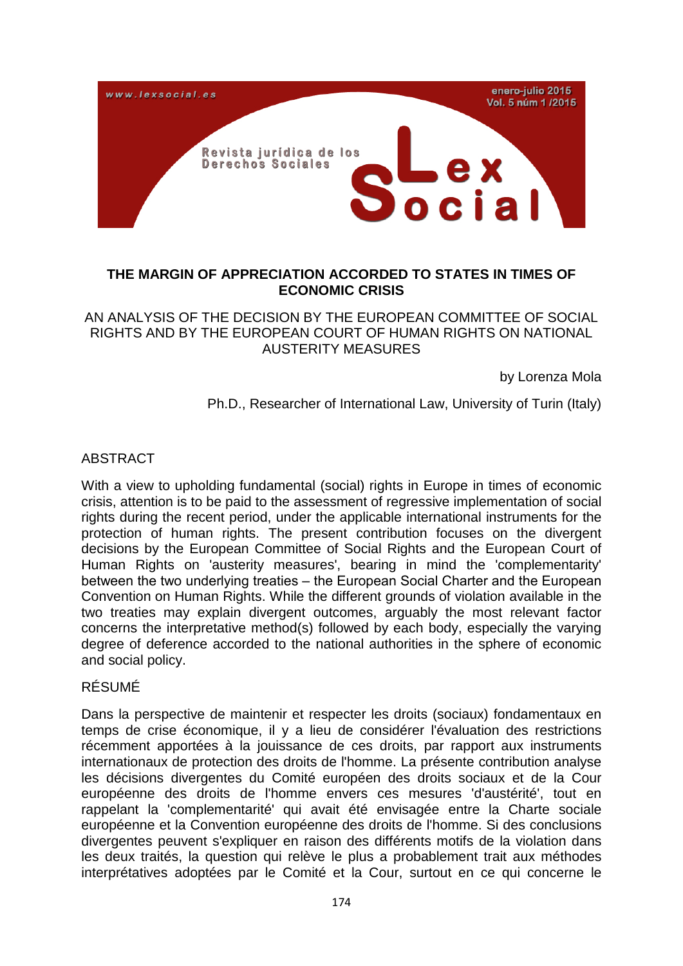

# **THE MARGIN OF APPRECIATION ACCORDED TO STATES IN TIMES OF ECONOMIC CRISIS**

# AN ANALYSIS OF THE DECISION BY THE EUROPEAN COMMITTEE OF SOCIAL RIGHTS AND BY THE EUROPEAN COURT OF HUMAN RIGHTS ON NATIONAL AUSTERITY MEASURES

by Lorenza Mola

Ph.D., Researcher of International Law, University of Turin (Italy)

## ABSTRACT

With a view to upholding fundamental (social) rights in Europe in times of economic crisis, attention is to be paid to the assessment of regressive implementation of social rights during the recent period, under the applicable international instruments for the protection of human rights. The present contribution focuses on the divergent decisions by the European Committee of Social Rights and the European Court of Human Rights on 'austerity measures', bearing in mind the 'complementarity' between the two underlying treaties – the European Social Charter and the European Convention on Human Rights. While the different grounds of violation available in the two treaties may explain divergent outcomes, arguably the most relevant factor concerns the interpretative method(s) followed by each body, especially the varying degree of deference accorded to the national authorities in the sphere of economic and social policy.

#### RÉSUMÉ

Dans la perspective de maintenir et respecter les droits (sociaux) fondamentaux en temps de crise économique, il y a lieu de considérer l'évaluation des restrictions récemment apportées à la jouissance de ces droits, par rapport aux instruments internationaux de protection des droits de l'homme. La présente contribution analyse les décisions divergentes du Comité européen des droits sociaux et de la Cour européenne des droits de l'homme envers ces mesures 'd'austérité', tout en rappelant la 'complementarité' qui avait été envisagée entre la Charte sociale européenne et la Convention européenne des droits de l'homme. Si des conclusions divergentes peuvent s'expliquer en raison des différents motifs de la violation dans les deux traités, la question qui relève le plus a probablement trait aux méthodes interprétatives adoptées par le Comité et la Cour, surtout en ce qui concerne le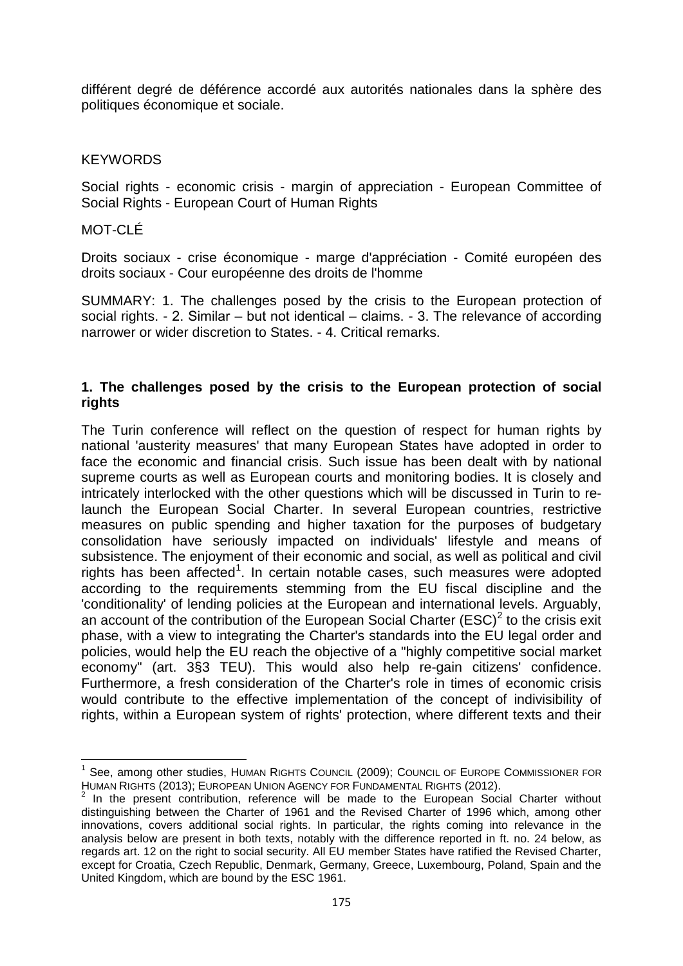différent degré de déférence accordé aux autorités nationales dans la sphère des politiques économique et sociale.

## **KEYWORDS**

Social rights - economic crisis - margin of appreciation - European Committee of Social Rights - European Court of Human Rights

### MOT-CLÉ

Droits sociaux - crise économique - marge d'appréciation - Comité européen des droits sociaux - Cour européenne des droits de l'homme

SUMMARY: 1. The challenges posed by the crisis to the European protection of social rights.  $-2$ . Similar  $-$  but not identical  $-$  claims.  $-3$ . The relevance of according narrower or wider discretion to States. - 4. Critical remarks.

### **1. The challenges posed by the crisis to the European protection of social rights**

The Turin conference will reflect on the question of respect for human rights by national 'austerity measures' that many European States have adopted in order to face the economic and financial crisis. Such issue has been dealt with by national supreme courts as well as European courts and monitoring bodies. It is closely and intricately interlocked with the other questions which will be discussed in Turin to relaunch the European Social Charter. In several European countries, restrictive measures on public spending and higher taxation for the purposes of budgetary consolidation have seriously impacted on individuals' lifestyle and means of subsistence. The enjoyment of their economic and social, as well as political and civil rights has been affected<sup>[1](#page-1-0)</sup>. In certain notable cases, such measures were adopted according to the requirements stemming from the EU fiscal discipline and the 'conditionality' of lending policies at the European and international levels. Arguably, an account of the contribution of the European Social Charter (ESC)<sup>[2](#page-1-1)</sup> to the crisis exit phase, with a view to integrating the Charter's standards into the EU legal order and policies, would help the EU reach the objective of a "highly competitive social market economy" (art. 3§3 TEU). This would also help re-gain citizens' confidence. Furthermore, a fresh consideration of the Charter's role in times of economic crisis would contribute to the effective implementation of the concept of indivisibility of rights, within a European system of rights' protection, where different texts and their

<span id="page-1-0"></span><sup>&</sup>lt;sup>1</sup> See, among other studies, HUMAN RIGHTS COUNCIL (2009); COUNCIL OF EUROPE COMMISSIONER FOR<br>HUMAN RIGHTS (2013): EUROPEAN UNION AGENCY FOR FUNDAMENTAL RIGHTS (2012).

<span id="page-1-1"></span> $2$  In the present contribution, reference will be made to the European Social Charter without distinguishing between the Charter of 1961 and the Revised Charter of 1996 which, among other innovations, covers additional social rights. In particular, the rights coming into relevance in the analysis below are present in both texts, notably with the difference reported in ft. no. 24 below, as regards art. 12 on the right to social security. All EU member States have ratified the Revised Charter, except for Croatia, Czech Republic, Denmark, Germany, Greece, Luxembourg, Poland, Spain and the United Kingdom, which are bound by the ESC 1961.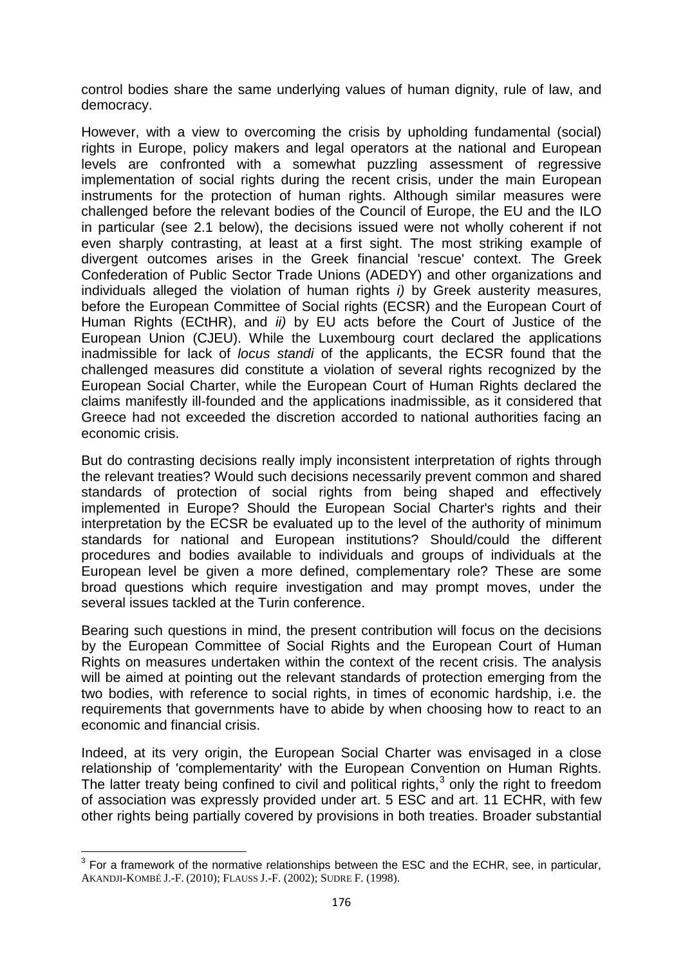control bodies share the same underlying values of human dignity, rule of law, and democracy.

However, with a view to overcoming the crisis by upholding fundamental (social) rights in Europe, policy makers and legal operators at the national and European levels are confronted with a somewhat puzzling assessment of regressive implementation of social rights during the recent crisis, under the main European instruments for the protection of human rights. Although similar measures were challenged before the relevant bodies of the Council of Europe, the EU and the ILO in particular (see 2.1 below), the decisions issued were not wholly coherent if not even sharply contrasting, at least at a first sight. The most striking example of divergent outcomes arises in the Greek financial 'rescue' context. The Greek Confederation of Public Sector Trade Unions (ADEDY) and other organizations and individuals alleged the violation of human rights *i)* by Greek austerity measures, before the European Committee of Social rights (ECSR) and the European Court of Human Rights (ECtHR), and *ii)* by EU acts before the Court of Justice of the European Union (CJEU). While the Luxembourg court declared the applications inadmissible for lack of *locus standi* of the applicants, the ECSR found that the challenged measures did constitute a violation of several rights recognized by the European Social Charter, while the European Court of Human Rights declared the claims manifestly ill-founded and the applications inadmissible, as it considered that Greece had not exceeded the discretion accorded to national authorities facing an economic crisis.

But do contrasting decisions really imply inconsistent interpretation of rights through the relevant treaties? Would such decisions necessarily prevent common and shared standards of protection of social rights from being shaped and effectively implemented in Europe? Should the European Social Charter's rights and their interpretation by the ECSR be evaluated up to the level of the authority of minimum standards for national and European institutions? Should/could the different procedures and bodies available to individuals and groups of individuals at the European level be given a more defined, complementary role? These are some broad questions which require investigation and may prompt moves, under the several issues tackled at the Turin conference.

Bearing such questions in mind, the present contribution will focus on the decisions by the European Committee of Social Rights and the European Court of Human Rights on measures undertaken within the context of the recent crisis. The analysis will be aimed at pointing out the relevant standards of protection emerging from the two bodies, with reference to social rights, in times of economic hardship, i.e. the requirements that governments have to abide by when choosing how to react to an economic and financial crisis.

Indeed, at its very origin, the European Social Charter was envisaged in a close relationship of 'complementarity' with the European Convention on Human Rights. The latter treaty being confined to civil and political rights, $3$  only the right to freedom of association was expressly provided under art. 5 ESC and art. 11 ECHR, with few other rights being partially covered by provisions in both treaties. Broader substantial

<span id="page-2-0"></span><sup>&</sup>lt;sup>3</sup> For a framework of the normative relationships between the ESC and the ECHR, see, in particular, AKANDJI-KOMBÉ J.-F. (2010); FLAUSS J.-F. (2002); SUDRE F. (1998).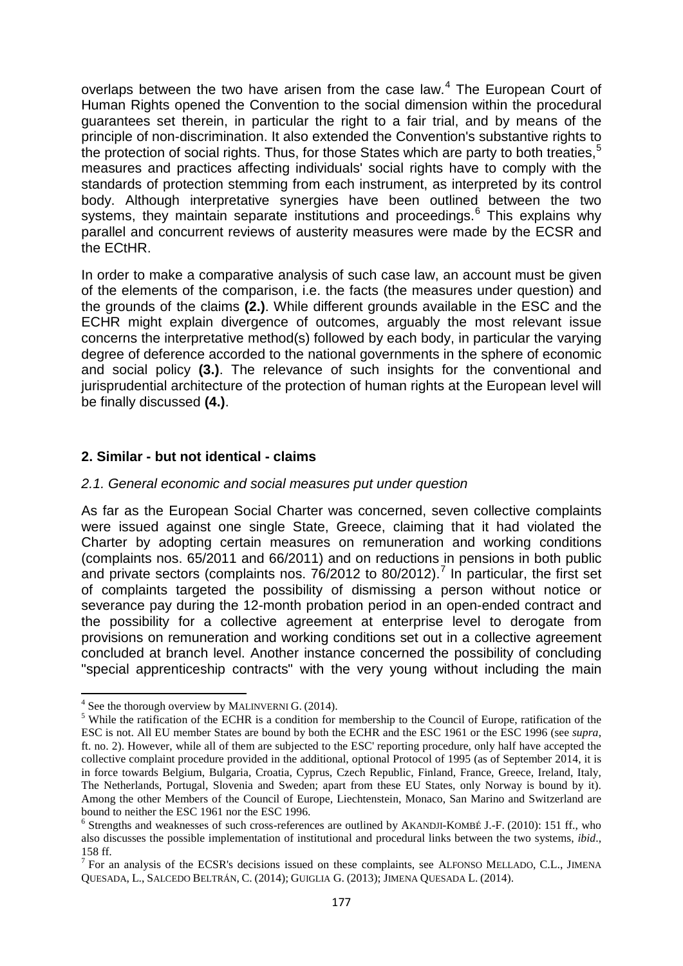overlaps between the two have arisen from the case law.<sup>[4](#page-3-0)</sup> The European Court of Human Rights opened the Convention to the social dimension within the procedural guarantees set therein, in particular the right to a fair trial, and by means of the principle of non-discrimination. It also extended the Convention's substantive rights to the protection of social rights. Thus, for those States which are party to both treaties,  $5$ measures and practices affecting individuals' social rights have to comply with the standards of protection stemming from each instrument, as interpreted by its control body. Although interpretative synergies have been outlined between the two systems, they maintain separate institutions and proceedings.<sup>[6](#page-3-2)</sup> This explains why parallel and concurrent reviews of austerity measures were made by the ECSR and the ECtHR.

In order to make a comparative analysis of such case law, an account must be given of the elements of the comparison, i.e. the facts (the measures under question) and the grounds of the claims **(2.)**. While different grounds available in the ESC and the ECHR might explain divergence of outcomes, arguably the most relevant issue concerns the interpretative method(s) followed by each body, in particular the varying degree of deference accorded to the national governments in the sphere of economic and social policy **(3.)**. The relevance of such insights for the conventional and jurisprudential architecture of the protection of human rights at the European level will be finally discussed **(4.)**.

#### **2. Similar - but not identical - claims**

#### *2.1. General economic and social measures put under question*

As far as the European Social Charter was concerned, seven collective complaints were issued against one single State, Greece, claiming that it had violated the Charter by adopting certain measures on remuneration and working conditions (complaints nos. 65/2011 and 66/2011) and on reductions in pensions in both public and private sectors (complaints nos.  $76/2012$  $76/2012$  to 80/2012).<sup>7</sup> In particular, the first set of complaints targeted the possibility of dismissing a person without notice or severance pay during the 12-month probation period in an open-ended contract and the possibility for a collective agreement at enterprise level to derogate from provisions on remuneration and working conditions set out in a collective agreement concluded at branch level. Another instance concerned the possibility of concluding "special apprenticeship contracts" with the very young without including the main

<span id="page-3-1"></span><span id="page-3-0"></span><sup>&</sup>lt;sup>4</sup> See the thorough overview by MALINVERNI G. (2014).<br><sup>5</sup> While the ratification of the ECHR is a condition for membership to the Council of Europe, ratification of the ESC is not. All EU member States are bound by both the ECHR and the ESC 1961 or the ESC 1996 (see *supra*, ft. no. 2). However, while all of them are subjected to the ESC' reporting procedure, only half have accepted the collective complaint procedure provided in the additional, optional Protocol of 1995 (as of September 2014, it is in force towards Belgium, Bulgaria, Croatia, Cyprus, Czech Republic, Finland, France, Greece, Ireland, Italy, The Netherlands, Portugal, Slovenia and Sweden; apart from these EU States, only Norway is bound by it). Among the other Members of the Council of Europe, Liechtenstein, Monaco, San Marino and Switzerland are bound to neither the ESC 1961 nor the ESC 1996.

<span id="page-3-2"></span> $6$  Strengths and weaknesses of such cross-references are outlined by AKANDJI-KOMBÉ J.-F. (2010): 151 ff., who also discusses the possible implementation of institutional and procedural links between the two systems, *ibid*., 158 ff.

<span id="page-3-3"></span> $<sup>7</sup>$  For an analysis of the ECSR's decisions issued on these complaints, see ALFONSO MELLADO, C.L., JIMENA</sup> QUESADA, L., SALCEDO BELTRÁN, C. (2014); GUIGLIA G. (2013); JIMENA QUESADA L. (2014).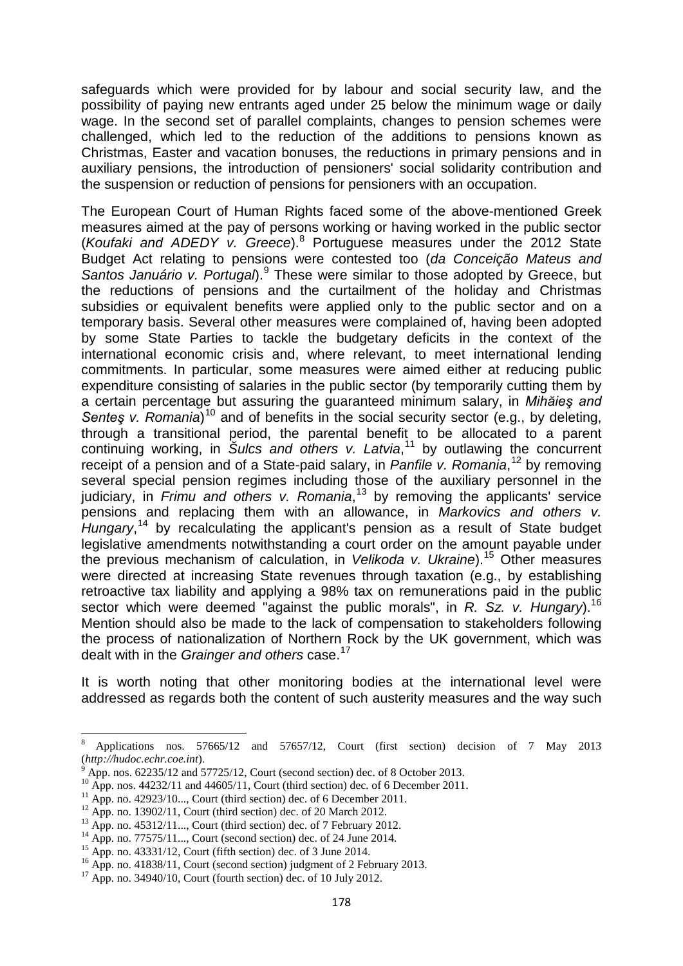safeguards which were provided for by labour and social security law, and the possibility of paying new entrants aged under 25 below the minimum wage or daily wage. In the second set of parallel complaints, changes to pension schemes were challenged, which led to the reduction of the additions to pensions known as Christmas, Easter and vacation bonuses, the reductions in primary pensions and in auxiliary pensions, the introduction of pensioners' social solidarity contribution and the suspension or reduction of pensions for pensioners with an occupation.

The European Court of Human Rights faced some of the above-mentioned Greek measures aimed at the pay of persons working or having worked in the public sector (*Koufaki and ADEDY v. Greece*).[8](#page-4-0) Portuguese measures under the 2012 State Budget Act relating to pensions were contested too (*da Conceição Mateus and* Santos Januário v. Portugal).<sup>[9](#page-4-1)</sup> These were similar to those adopted by Greece, but the reductions of pensions and the curtailment of the holiday and Christmas subsidies or equivalent benefits were applied only to the public sector and on a temporary basis. Several other measures were complained of, having been adopted by some State Parties to tackle the budgetary deficits in the context of the international economic crisis and, where relevant, to meet international lending commitments. In particular, some measures were aimed either at reducing public expenditure consisting of salaries in the public sector (by temporarily cutting them by a certain percentage but assuring the guaranteed minimum salary, in *Mihăieş and*  Senteş *v. Romania*)<sup>[10](#page-4-2)</sup> and of benefits in the social security sector (e.g., by deleting, through a transitional period, the parental benefit to be allocated to a parent continuing working, in *Šulcs and others v. Latvia*, [11](#page-4-3) by outlawing the concurrent receipt of a pension and of a State-paid salary, in *Panfile v. Romania*, [12](#page-4-4) by removing several special pension regimes including those of the auxiliary personnel in the judiciary, in *Frimu and others v. Romania*, [13](#page-4-5) by removing the applicants' service pensions and replacing them with an allowance, in *Markovics and others v. Hungary*, [14](#page-4-6) by recalculating the applicant's pension as a result of State budget legislative amendments notwithstanding a court order on the amount payable under the previous mechanism of calculation, in *Velikoda v. Ukraine*). [15](#page-4-7) Other measures were directed at increasing State revenues through taxation (e.g., by establishing retroactive tax liability and applying a 98% tax on remunerations paid in the public sector which were deemed "against the public morals", in *R. Sz. v. Hungary*). [16](#page-4-8) Mention should also be made to the lack of compensation to stakeholders following the process of nationalization of Northern Rock by the UK government, which was dealt with in the *Grainger and others* case.[17](#page-4-9)

It is worth noting that other monitoring bodies at the international level were addressed as regards both the content of such austerity measures and the way such

<span id="page-4-0"></span><sup>&</sup>lt;sup>8</sup> Applications nos. 57665/12 and 57657/12, Court (first section) decision of 7 May 2013 (http://hudoc.echr.coe.int).

<span id="page-4-1"></span> $\binom{6}{4}$  App. nos. 62235/12 and 57725/12, Court (second section) dec. of 8 October 2013.<br><sup>10</sup> App. nos. 44232/11 and 44605/11, Court (third section) dec. of 6 December 2011.

<span id="page-4-2"></span>

<span id="page-4-4"></span>

<span id="page-4-5"></span>

<span id="page-4-7"></span><span id="page-4-6"></span>

<span id="page-4-3"></span><sup>&</sup>lt;sup>11</sup> App. no. 42923/10..., Court (third section) dec. of 6 December 2011.<br><sup>12</sup> App. no. 13902/11, Court (third section) dec. of 20 March 2012.<br><sup>13</sup> App. no. 45312/11..., Court (third section) dec. of 7 February 2012.<br><sup>14</sup>

<span id="page-4-9"></span><span id="page-4-8"></span>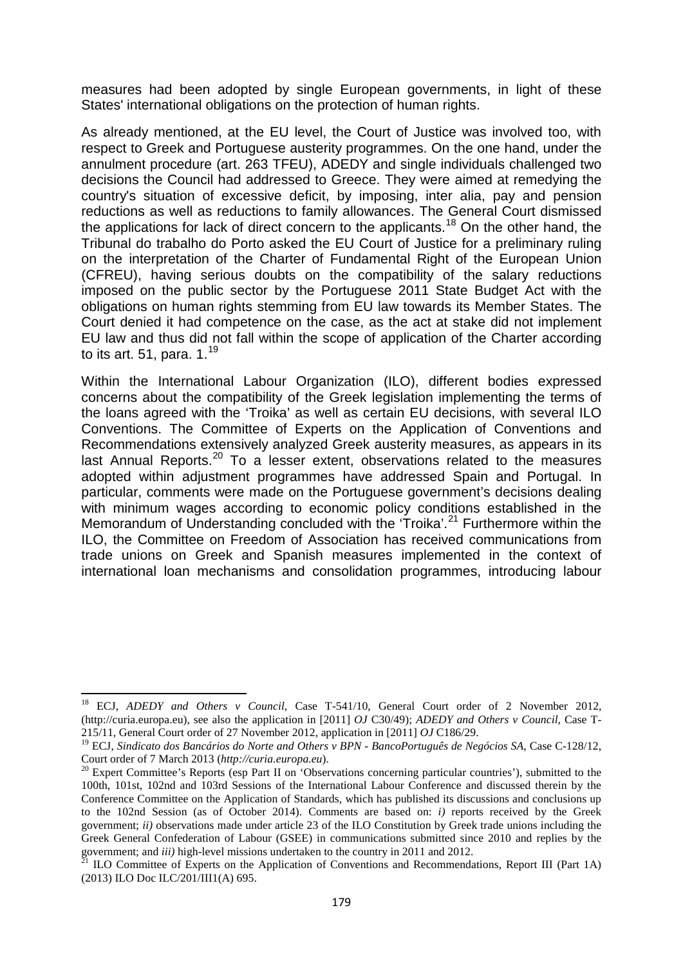measures had been adopted by single European governments, in light of these States' international obligations on the protection of human rights.

As already mentioned, at the EU level, the Court of Justice was involved too, with respect to Greek and Portuguese austerity programmes. On the one hand, under the annulment procedure (art. 263 TFEU), ADEDY and single individuals challenged two decisions the Council had addressed to Greece. They were aimed at remedying the country's situation of excessive deficit, by imposing, inter alia, pay and pension reductions as well as reductions to family allowances. The General Court dismissed the applications for lack of direct concern to the applicants.<sup>[18](#page-5-0)</sup> On the other hand, the Tribunal do trabalho do Porto asked the EU Court of Justice for a preliminary ruling on the interpretation of the Charter of Fundamental Right of the European Union (CFREU), having serious doubts on the compatibility of the salary reductions imposed on the public sector by the Portuguese 2011 State Budget Act with the obligations on human rights stemming from EU law towards its Member States. The Court denied it had competence on the case, as the act at stake did not implement EU law and thus did not fall within the scope of application of the Charter according to its art. 51, para,  $1<sup>19</sup>$  $1<sup>19</sup>$  $1<sup>19</sup>$ 

Within the International Labour Organization (ILO), different bodies expressed concerns about the compatibility of the Greek legislation implementing the terms of the loans agreed with the 'Troika' as well as certain EU decisions, with several ILO Conventions. The Committee of Experts on the Application of Conventions and Recommendations extensively analyzed Greek austerity measures, as appears in its **LOCCOMMEDITED TO A LACTE AND A LACTE AND REPORT AND REPORT ION IN A LACTE AND REPORT ION CONTROL TO A LACTE CO** adopted within adjustment programmes have addressed Spain and Portugal. In particular, comments were made on the Portuguese government's decisions dealing with minimum wages according to economic policy conditions established in the Memorandum of Understanding concluded with the 'Troika'.<sup>[21](#page-5-3)</sup> Furthermore within the ILO, the Committee on Freedom of Association has received communications from trade unions on Greek and Spanish measures implemented in the context of international loan mechanisms and consolidation programmes, introducing labour

<span id="page-5-0"></span><sup>&</sup>lt;sup>18</sup> ECJ, *ADEDY and Others v Council*, Case T-541/10, General Court order of 2 November 2012, (http://curia.europa.eu), see also the application in [2011] *OJ* C30/49); *ADEDY and Others v Council*, Case T-215/11, General Court order of 27 November 2012, application in [2011] *OJ* C186/29.

<span id="page-5-1"></span><sup>&</sup>lt;sup>19</sup> ECJ, *Sindicato dos Bancários do Norte and Others v BPN - BancoPortuguês de Negócios SA*, Case C-128/12, Court order of 7 March 2013 (*http://curia.europa.eu*).

<span id="page-5-2"></span><sup>&</sup>lt;sup>20</sup> Expert Committee's Reports (esp Part II on 'Observations concerning particular countries'), submitted to the 100th, 101st, 102nd and 103rd Sessions of the International Labour Conference and discussed therein by the Conference Committee on the Application of Standards, which has published its discussions and conclusions up to the 102nd Session (as of October 2014). Comments are based on: *i)* reports received by the Greek government; *ii)* observations made under article 23 of the ILO Constitution by Greek trade unions including the Greek General Confederation of Labour (GSEE) in communications submitted since 2010 and replies by the government; and *iii*) high-level missions undertaken to the country in 2011 and 2012.

<span id="page-5-3"></span>ILO Committee of Experts on the Application of Conventions and Recommendations, Report III (Part 1A) (2013) ILO Doc ILC/201/III1(A) 695.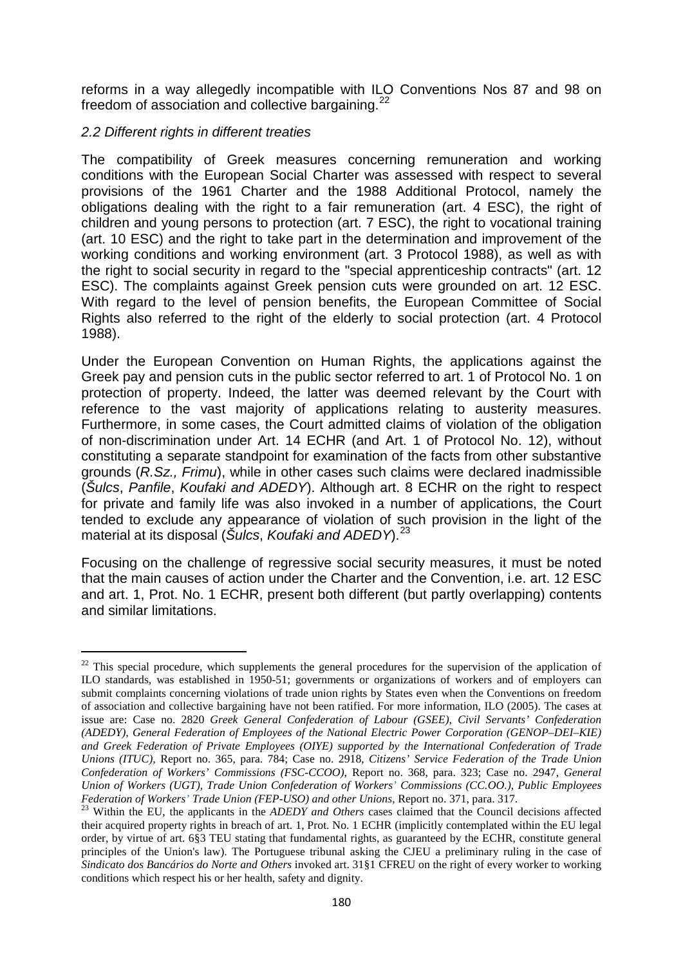reforms in a way allegedly incompatible with ILO Conventions Nos 87 and 98 on freedom of association and collective bargaining. $22$ 

## *2.2 Different rights in different treaties*

**.** 

The compatibility of Greek measures concerning remuneration and working conditions with the European Social Charter was assessed with respect to several provisions of the 1961 Charter and the 1988 Additional Protocol, namely the obligations dealing with the right to a fair remuneration (art. 4 ESC), the right of children and young persons to protection (art. 7 ESC), the right to vocational training (art. 10 ESC) and the right to take part in the determination and improvement of the working conditions and working environment (art. 3 Protocol 1988), as well as with the right to social security in regard to the "special apprenticeship contracts" (art. 12 ESC). The complaints against Greek pension cuts were grounded on art. 12 ESC. With regard to the level of pension benefits, the European Committee of Social Rights also referred to the right of the elderly to social protection (art. 4 Protocol 1988).

Under the European Convention on Human Rights, the applications against the Greek pay and pension cuts in the public sector referred to art. 1 of Protocol No. 1 on protection of property. Indeed, the latter was deemed relevant by the Court with reference to the vast majority of applications relating to austerity measures. Furthermore, in some cases, the Court admitted claims of violation of the obligation of non-discrimination under Art. 14 ECHR (and Art. 1 of Protocol No. 12), without constituting a separate standpoint for examination of the facts from other substantive grounds (*R.Sz., Frimu*), while in other cases such claims were declared inadmissible (*Šulcs*, *Panfile*, *Koufaki and ADEDY*). Although art. 8 ECHR on the right to respect for private and family life was also invoked in a number of applications, the Court tended to exclude any appearance of violation of such provision in the light of the material at its disposal (*Šulcs*, *Koufaki and ADEDY*). [23](#page-6-1)

Focusing on the challenge of regressive social security measures, it must be noted that the main causes of action under the Charter and the Convention, i.e. art. 12 ESC and art. 1, Prot. No. 1 ECHR, present both different (but partly overlapping) contents and similar limitations.

<span id="page-6-0"></span><sup>&</sup>lt;sup>22</sup> This special procedure, which supplements the general procedures for the supervision of the application of ILO standards, was established in 1950-51; governments or organizations of workers and of employers can submit complaints concerning violations of trade union rights by States even when the Conventions on freedom of association and collective bargaining have not been ratified. For more information, ILO (2005). The cases at issue are: Case no. 2820 *Greek General Confederation of Labour (GSEE), Civil Servants' Confederation (ADEDY), General Federation of Employees of the National Electric Power Corporation (GENOP–DEI–KIE) and Greek Federation of Private Employees (OIYE) supported by the International Confederation of Trade Unions (ITUC)*, Report no. 365, para. 784; Case no. 2918, *Citizens' Service Federation of the Trade Union Confederation of Workers' Commissions (FSC-CCOO)*, Report no. 368, para. 323; Case no. 2947, *General Union of Workers (UGT), Trade Union Confederation of Workers' Commissions (CC.OO.), Public Employees* 

<span id="page-6-1"></span><sup>&</sup>lt;sup>23</sup> Within the EU, the applicants in the *ADEDY and Others* cases claimed that the Council decisions affected their acquired property rights in breach of art. 1, Prot. No. 1 ECHR (implicitly contemplated within the EU legal order, by virtue of art. 6§3 TEU stating that fundamental rights, as guaranteed by the ECHR, constitute general principles of the Union's law). The Portuguese tribunal asking the CJEU a preliminary ruling in the case of *Sindicato dos Bancários do Norte and Others* invoked art. 31§1 CFREU on the right of every worker to working conditions which respect his or her health, safety and dignity.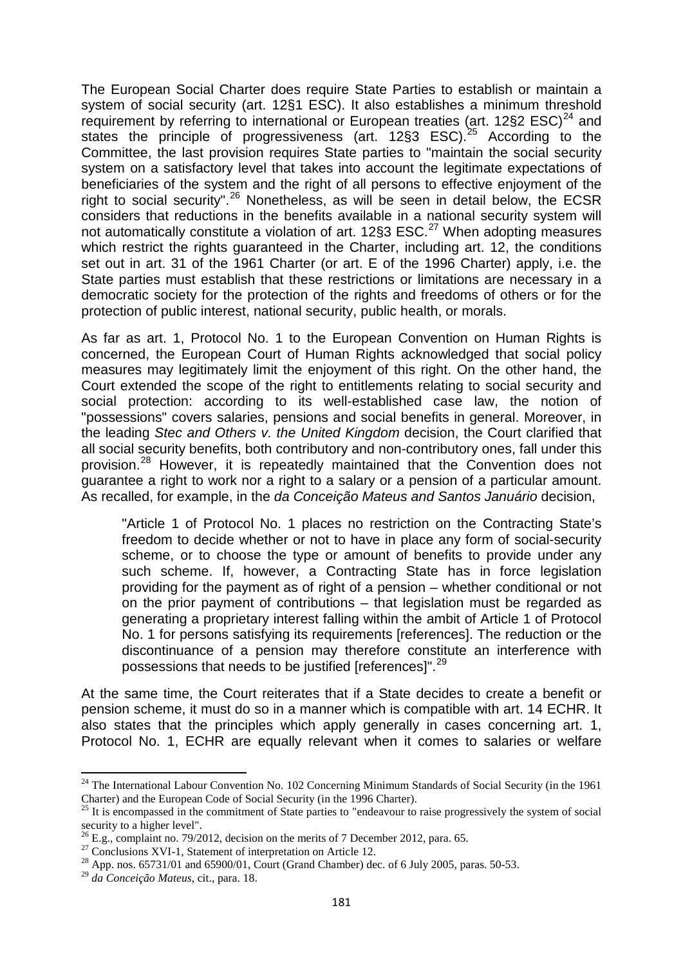The European Social Charter does require State Parties to establish or maintain a system of social security (art. 12§1 ESC). It also establishes a minimum threshold requirement by referring to international or European treaties (art.  $12\S2$  ESC)<sup>[24](#page-7-0)</sup> and states the principle of progressiveness (art. 12§3 ESC).<sup>[25](#page-7-1)</sup> According to the Committee, the last provision requires State parties to "maintain the social security system on a satisfactory level that takes into account the legitimate expectations of beneficiaries of the system and the right of all persons to effective enjoyment of the right to social security".<sup>[26](#page-7-2)</sup> Nonetheless, as will be seen in detail below, the ECSR considers that reductions in the benefits available in a national security system will not automatically constitute a violation of art. 12§3 ESC.<sup>[27](#page-7-3)</sup> When adopting measures which restrict the rights guaranteed in the Charter, including art. 12, the conditions set out in art. 31 of the 1961 Charter (or art. E of the 1996 Charter) apply, i.e. the State parties must establish that these restrictions or limitations are necessary in a democratic society for the protection of the rights and freedoms of others or for the protection of public interest, national security, public health, or morals.

As far as art. 1, Protocol No. 1 to the European Convention on Human Rights is concerned, the European Court of Human Rights acknowledged that social policy measures may legitimately limit the enjoyment of this right. On the other hand, the Court extended the scope of the right to entitlements relating to social security and social protection: according to its well-established case law, the notion of "possessions" covers salaries, pensions and social benefits in general. Moreover, in the leading *Stec and Others v. the United Kingdom* decision, the Court clarified that all social security benefits, both contributory and non-contributory ones, fall under this provision.<sup>[28](#page-7-4)</sup> However, it is repeatedly maintained that the Convention does not guarantee a right to work nor a right to a salary or a pension of a particular amount. As recalled, for example, in the *da Conceição Mateus and Santos Januário* decision,

"Article 1 of Protocol No. 1 places no restriction on the Contracting State's freedom to decide whether or not to have in place any form of social-security scheme, or to choose the type or amount of benefits to provide under any such scheme. If, however, a Contracting State has in force legislation providing for the payment as of right of a pension – whether conditional or not on the prior payment of contributions – that legislation must be regarded as generating a proprietary interest falling within the ambit of Article 1 of Protocol No. 1 for persons satisfying its requirements [references]. The reduction or the discontinuance of a pension may therefore constitute an interference with possessions that needs to be justified [references]".<sup>[29](#page-7-5)</sup>

At the same time, the Court reiterates that if a State decides to create a benefit or pension scheme, it must do so in a manner which is compatible with art. 14 ECHR. It also states that the principles which apply generally in cases concerning art. 1, Protocol No. 1, ECHR are equally relevant when it comes to salaries or welfare

<span id="page-7-0"></span><sup>&</sup>lt;sup>24</sup> The International Labour Convention No. 102 Concerning Minimum Standards of Social Security (in the 1961 Charter) and the European Code of Social Security (in the 1996 Charter).

<span id="page-7-1"></span><sup>&</sup>lt;sup>25</sup> It is encompassed in the commitment of State parties to "endeavour to raise progressively the system of social security to a higher level".<br><sup>26</sup> E.g., complaint no. 79/2012, decision on the merits of 7 December 2012, para. 65.

<span id="page-7-2"></span>

<span id="page-7-3"></span><sup>&</sup>lt;sup>27</sup> Conclusions XVI-1, Statement of interpretation on Article 12.<br><sup>28</sup> App. nos. 65731/01 and 65900/01, Court (Grand Chamber) dec. of 6 July 2005, paras. 50-53.

<span id="page-7-5"></span><span id="page-7-4"></span><sup>29</sup> *da Conceição Mateus*, cit., para. 18.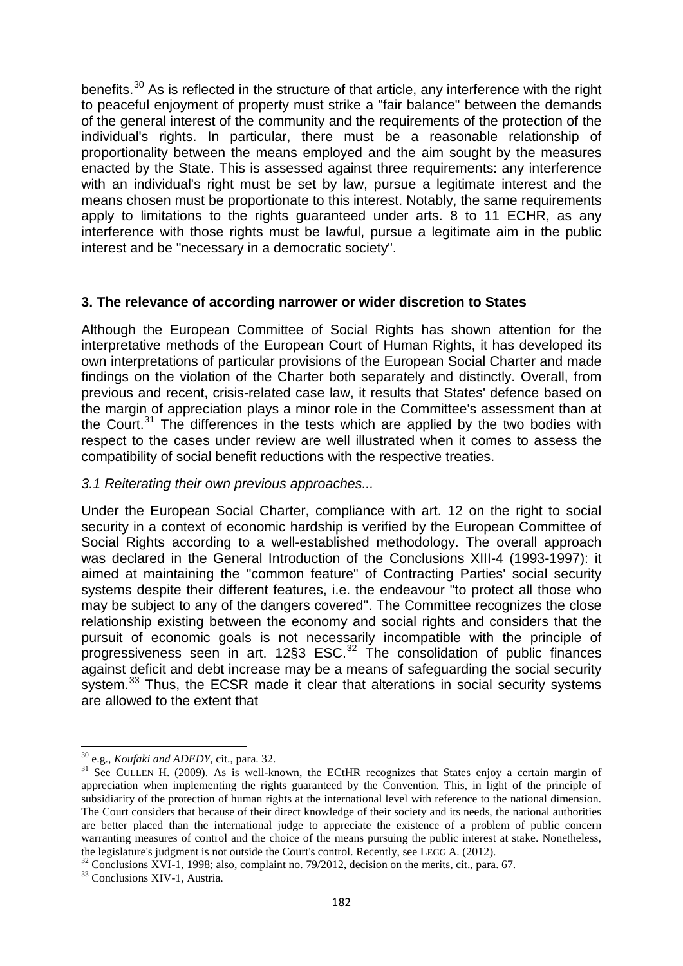benefits.<sup>[30](#page-8-0)</sup> As is reflected in the structure of that article, any interference with the right to peaceful enjoyment of property must strike a "fair balance" between the demands of the general interest of the community and the requirements of the protection of the individual's rights. In particular, there must be a reasonable relationship of proportionality between the means employed and the aim sought by the measures enacted by the State. This is assessed against three requirements: any interference with an individual's right must be set by law, pursue a legitimate interest and the means chosen must be proportionate to this interest. Notably, the same requirements apply to limitations to the rights guaranteed under arts. 8 to 11 ECHR, as any interference with those rights must be lawful, pursue a legitimate aim in the public interest and be "necessary in a democratic society".

#### **3. The relevance of according narrower or wider discretion to States**

Although the European Committee of Social Rights has shown attention for the interpretative methods of the European Court of Human Rights, it has developed its own interpretations of particular provisions of the European Social Charter and made findings on the violation of the Charter both separately and distinctly. Overall, from previous and recent, crisis-related case law, it results that States' defence based on the margin of appreciation plays a minor role in the Committee's assessment than at the Court.<sup>[31](#page-8-1)</sup> The differences in the tests which are applied by the two bodies with respect to the cases under review are well illustrated when it comes to assess the compatibility of social benefit reductions with the respective treaties.

#### *3.1 Reiterating their own previous approaches...*

Under the European Social Charter, compliance with art. 12 on the right to social security in a context of economic hardship is verified by the European Committee of Social Rights according to a well-established methodology. The overall approach was declared in the General Introduction of the Conclusions XIII-4 (1993-1997): it aimed at maintaining the "common feature" of Contracting Parties' social security systems despite their different features, i.e. the endeavour "to protect all those who may be subject to any of the dangers covered". The Committee recognizes the close relationship existing between the economy and social rights and considers that the pursuit of economic goals is not necessarily incompatible with the principle of progressiveness seen in art. 12§3 ESC. [32](#page-8-2) The consolidation of public finances against deficit and debt increase may be a means of safeguarding the social security system.<sup>[33](#page-8-3)</sup> Thus, the ECSR made it clear that alterations in social security systems are allowed to the extent that

<span id="page-8-1"></span><span id="page-8-0"></span><sup>&</sup>lt;sup>30</sup> e.g., *Koufaki and ADEDY*, cit., para. 32.<br><sup>31</sup> See CULLEN H. (2009). As is well-known, the ECtHR recognizes that States enjoy a certain margin of appreciation when implementing the rights guaranteed by the Convention. This, in light of the principle of subsidiarity of the protection of human rights at the international level with reference to the national dimension. The Court considers that because of their direct knowledge of their society and its needs, the national authorities are better placed than the international judge to appreciate the existence of a problem of public concern warranting measures of control and the choice of the means pursuing the public interest at stake. Nonetheless, the legislature's judgment is not outside the Court's control. Recently, see LEGG A. (2012).

<span id="page-8-2"></span> $t^{32}$  Conclusions XVI-1, 1998; also, complaint no. 79/2012, decision on the merits, cit., para. 67.  $t^{33}$  Conclusions XIV-1, Austria.

<span id="page-8-3"></span>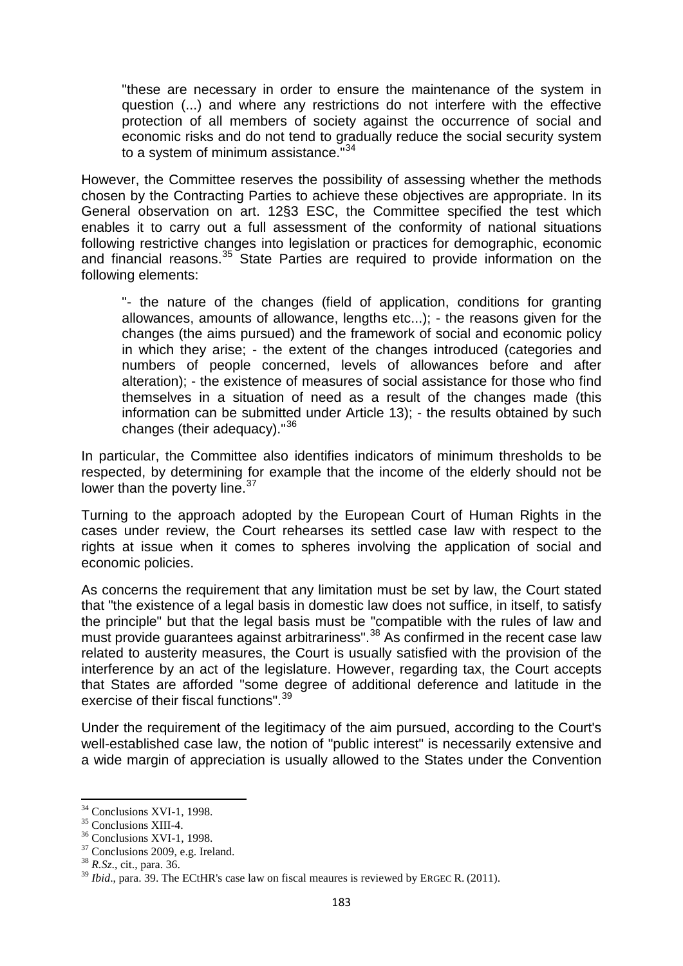"these are necessary in order to ensure the maintenance of the system in question (...) and where any restrictions do not interfere with the effective protection of all members of society against the occurrence of social and economic risks and do not tend to gradually reduce the social security system to a system of minimum assistance.<sup>"[34](#page-9-0)</sup>

However, the Committee reserves the possibility of assessing whether the methods chosen by the Contracting Parties to achieve these objectives are appropriate. In its General observation on art. 12§3 ESC, the Committee specified the test which enables it to carry out a full assessment of the conformity of national situations following restrictive changes into legislation or practices for demographic, economic and financial reasons. $35$  State Parties are required to provide information on the following elements:

"- the nature of the changes (field of application, conditions for granting allowances, amounts of allowance, lengths etc...); - the reasons given for the changes (the aims pursued) and the framework of social and economic policy in which they arise; - the extent of the changes introduced (categories and numbers of people concerned, levels of allowances before and after alteration); - the existence of measures of social assistance for those who find themselves in a situation of need as a result of the changes made (this information can be submitted under Article 13); - the results obtained by such changes (their adequacy)."<sup>[36](#page-9-2)</sup>

In particular, the Committee also identifies indicators of minimum thresholds to be respected, by determining for example that the income of the elderly should not be lower than the poverty line.<sup>[37](#page-9-3)</sup>

Turning to the approach adopted by the European Court of Human Rights in the cases under review, the Court rehearses its settled case law with respect to the rights at issue when it comes to spheres involving the application of social and economic policies.

As concerns the requirement that any limitation must be set by law, the Court stated that "the existence of a legal basis in domestic law does not suffice, in itself, to satisfy the principle" but that the legal basis must be "compatible with the rules of law and must provide guarantees against arbitrariness".<sup>[38](#page-9-4)</sup> As confirmed in the recent case law related to austerity measures, the Court is usually satisfied with the provision of the interference by an act of the legislature. However, regarding tax, the Court accepts that States are afforded "some degree of additional deference and latitude in the exercise of their fiscal functions".<sup>[39](#page-9-5)</sup>

Under the requirement of the legitimacy of the aim pursued, according to the Court's well-established case law, the notion of "public interest" is necessarily extensive and a wide margin of appreciation is usually allowed to the States under the Convention

<span id="page-9-1"></span>

<span id="page-9-2"></span>

<span id="page-9-0"></span><sup>&</sup>lt;sup>34</sup> Conclusions XVI-1, 1998.<br><sup>35</sup> Conclusions XVI-1, 1998.<br><sup>36</sup> Conclusions XVI-1, 1998.<br><sup>37</sup> Conclusions 2009, e.g. Ireland. <sup>38</sup> *R.Sz.*, cit., para. 36.

<span id="page-9-4"></span><span id="page-9-3"></span>

<span id="page-9-5"></span><sup>&</sup>lt;sup>39</sup> *Ibid.*, para. 39. The ECtHR's case law on fiscal meaures is reviewed by ERGEC R. (2011).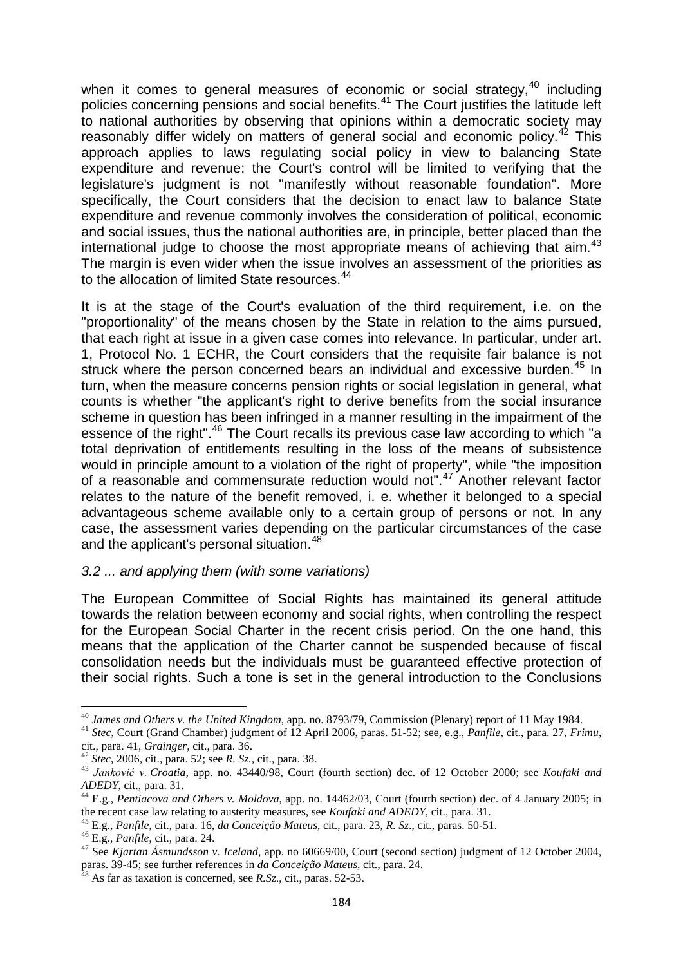when it comes to general measures of economic or social strategy,<sup>[40](#page-10-0)</sup> including policies concerning pensions and social benefits. [41](#page-10-1) The Court justifies the latitude left to national authorities by observing that opinions within a democratic society may reasonably differ widely on matters of general social and economic policy.<sup>[42](#page-10-2)</sup> This approach applies to laws regulating social policy in view to balancing State expenditure and revenue: the Court's control will be limited to verifying that the legislature's judgment is not "manifestly without reasonable foundation". More specifically, the Court considers that the decision to enact law to balance State expenditure and revenue commonly involves the consideration of political, economic and social issues, thus the national authorities are, in principle, better placed than the international judge to choose the most appropriate means of achieving that aim. $43$ The margin is even wider when the issue involves an assessment of the priorities as to the allocation of limited State resources.<sup>[44](#page-10-4)</sup>

It is at the stage of the Court's evaluation of the third requirement, i.e. on the "proportionality" of the means chosen by the State in relation to the aims pursued, that each right at issue in a given case comes into relevance. In particular, under art. 1, Protocol No. 1 ECHR, the Court considers that the requisite fair balance is not struck where the person concerned bears an individual and excessive burden.<sup>[45](#page-10-5)</sup> In turn, when the measure concerns pension rights or social legislation in general, what counts is whether "the applicant's right to derive benefits from the social insurance scheme in question has been infringed in a manner resulting in the impairment of the essence of the right".<sup>[46](#page-10-6)</sup> The Court recalls its previous case law according to which "a total deprivation of entitlements resulting in the loss of the means of subsistence would in principle amount to a violation of the right of property", while "the imposition of a reasonable and commensurate reduction would not".<sup>[47](#page-10-7)</sup> Another relevant factor relates to the nature of the benefit removed, i. e. whether it belonged to a special advantageous scheme available only to a certain group of persons or not. In any case, the assessment varies depending on the particular circumstances of the case and the applicant's personal situation.<sup>[48](#page-10-8)</sup>

#### *3.2 ... and applying them (with some variations)*

The European Committee of Social Rights has maintained its general attitude towards the relation between economy and social rights, when controlling the respect for the European Social Charter in the recent crisis period. On the one hand, this means that the application of the Charter cannot be suspended because of fiscal consolidation needs but the individuals must be guaranteed effective protection of their social rights. Such a tone is set in the general introduction to the Conclusions

<span id="page-10-1"></span><span id="page-10-0"></span><sup>&</sup>lt;sup>40</sup> James and Others v. the United Kingdom, app. no. 8793/79, Commission (Plenary) report of 11 May 1984.<br><sup>41</sup> Stec, Court (Grand Chamber) judgment of 12 April 2006, paras. 51-52; see, e.g., *Panfile*, cit., para. 27, *F* 

<span id="page-10-2"></span> $^{42}$  Stec, 2006, cit., para. 52; see R. Sz., cit., para. 38.<br> $^{43}$  Janković v. Croatia, app. no. 43440/98, Court (fourth section) dec. of 12 October 2000; see Koufaki and

<span id="page-10-4"></span><span id="page-10-3"></span>*ADEDY*, cit., para. 31.<br><sup>44</sup> E.g., *Pentiacova and Others v. Moldova*, app. no. 14462/03, Court (fourth section) dec. of 4 January 2005; in<br>the recent case law relating to austerity measures, see *Koufaki and ADEDY*, cit.

<span id="page-10-7"></span>

<span id="page-10-6"></span><span id="page-10-5"></span><sup>&</sup>lt;sup>45</sup> E.g., *Panfile*, cit., para. 16, *da Conceição Mateus*, cit., para. 23, *R. Sz.*, cit., paras. 50-51.<br><sup>46</sup> E.g., *Panfile*, cit., para. 24.<br><sup>47</sup> See *Kiartan Ásmundsson v. Iceland*, app. no 60669/00, Court (second se paras. 39-45; see further references in *da Conceição Mateus*, cit., para. 24. <sup>48</sup> As far as taxation is concerned, see *R.Sz.*, cit., paras. 52-53.

<span id="page-10-8"></span>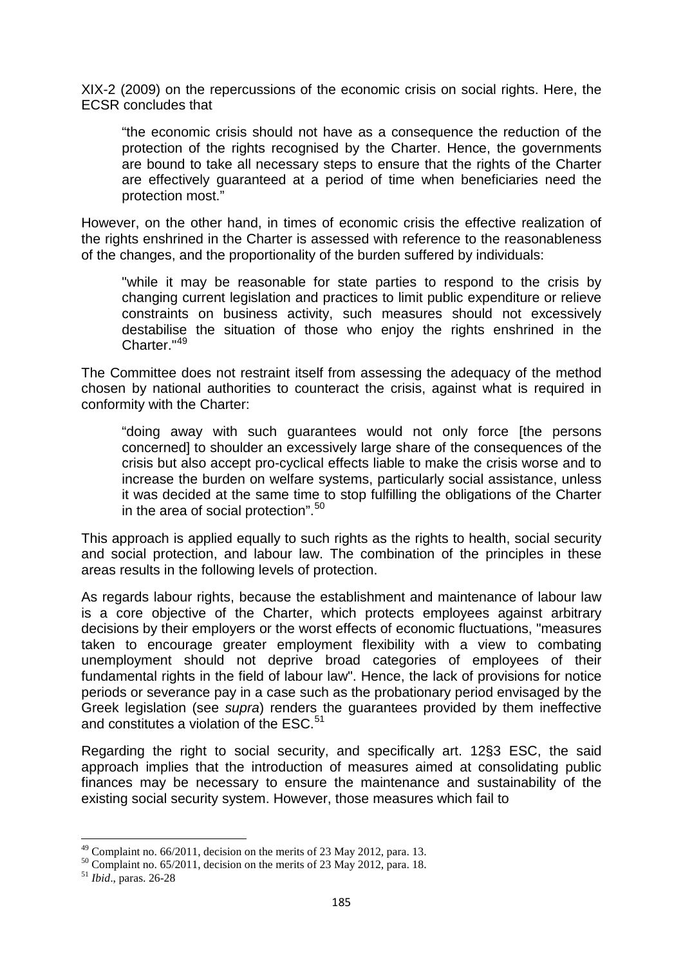XIX-2 (2009) on the repercussions of the economic crisis on social rights. Here, the ECSR concludes that

"the economic crisis should not have as a consequence the reduction of the protection of the rights recognised by the Charter. Hence, the governments are bound to take all necessary steps to ensure that the rights of the Charter are effectively guaranteed at a period of time when beneficiaries need the protection most."

However, on the other hand, in times of economic crisis the effective realization of the rights enshrined in the Charter is assessed with reference to the reasonableness of the changes, and the proportionality of the burden suffered by individuals:

"while it may be reasonable for state parties to respond to the crisis by changing current legislation and practices to limit public expenditure or relieve constraints on business activity, such measures should not excessively destabilise the situation of those who enjoy the rights enshrined in the Charter."<sup>[49](#page-11-0)</sup>

The Committee does not restraint itself from assessing the adequacy of the method chosen by national authorities to counteract the crisis, against what is required in conformity with the Charter:

"doing away with such guarantees would not only force [the persons concerned] to shoulder an excessively large share of the consequences of the crisis but also accept pro-cyclical effects liable to make the crisis worse and to increase the burden on welfare systems, particularly social assistance, unless it was decided at the same time to stop fulfilling the obligations of the Charter in the area of social protection".<sup>[50](#page-11-1)</sup>

This approach is applied equally to such rights as the rights to health, social security and social protection, and labour law. The combination of the principles in these areas results in the following levels of protection.

As regards labour rights, because the establishment and maintenance of labour law is a core objective of the Charter, which protects employees against arbitrary decisions by their employers or the worst effects of economic fluctuations, "measures taken to encourage greater employment flexibility with a view to combating unemployment should not deprive broad categories of employees of their fundamental rights in the field of labour law". Hence, the lack of provisions for notice periods or severance pay in a case such as the probationary period envisaged by the Greek legislation (see *supra*) renders the guarantees provided by them ineffective and constitutes a violation of the ESC.<sup>[51](#page-11-2)</sup>

Regarding the right to social security, and specifically art. 12§3 ESC, the said approach implies that the introduction of measures aimed at consolidating public finances may be necessary to ensure the maintenance and sustainability of the existing social security system. However, those measures which fail to

<span id="page-11-1"></span><span id="page-11-0"></span>

<sup>49</sup> Complaint no. 66/2011, decision on the merits of 23 May 2012, para. 13. <sup>50</sup> Complaint no. 65/2011, decision on the merits of 23 May 2012, para. 18. <sup>51</sup> *Ibid*., paras. 26-28

<span id="page-11-2"></span>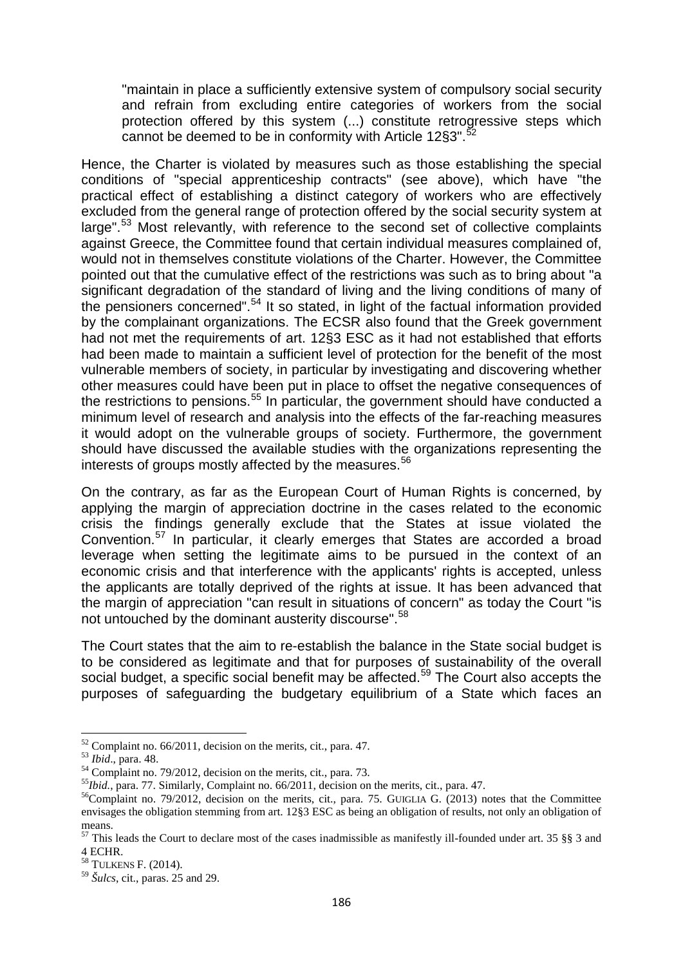"maintain in place a sufficiently extensive system of compulsory social security and refrain from excluding entire categories of workers from the social protection offered by this system (...) constitute retrogressive steps which cannot be deemed to be in conformity with Article 12§3".<sup>[52](#page-12-0)</sup>

Hence, the Charter is violated by measures such as those establishing the special conditions of "special apprenticeship contracts" (see above), which have "the practical effect of establishing a distinct category of workers who are effectively excluded from the general range of protection offered by the social security system at large".<sup>[53](#page-12-1)</sup> Most relevantly, with reference to the second set of collective complaints against Greece, the Committee found that certain individual measures complained of, would not in themselves constitute violations of the Charter. However, the Committee pointed out that the cumulative effect of the restrictions was such as to bring about "a significant degradation of the standard of living and the living conditions of many of the pensioners concerned".<sup>[54](#page-12-2)</sup> It so stated, in light of the factual information provided by the complainant organizations. The ECSR also found that the Greek government had not met the requirements of art. 12§3 ESC as it had not established that efforts had been made to maintain a sufficient level of protection for the benefit of the most vulnerable members of society, in particular by investigating and discovering whether other measures could have been put in place to offset the negative consequences of the restrictions to pensions.<sup>[55](#page-12-3)</sup> In particular, the government should have conducted a minimum level of research and analysis into the effects of the far-reaching measures it would adopt on the vulnerable groups of society. Furthermore, the government should have discussed the available studies with the organizations representing the interests of groups mostly affected by the measures.<sup>[56](#page-12-4)</sup>

On the contrary, as far as the European Court of Human Rights is concerned, by applying the margin of appreciation doctrine in the cases related to the economic crisis the findings generally exclude that the States at issue violated the Convention.<sup>[57](#page-12-5)</sup> In particular, it clearly emerges that States are accorded a broad leverage when setting the legitimate aims to be pursued in the context of an economic crisis and that interference with the applicants' rights is accepted, unless the applicants are totally deprived of the rights at issue. It has been advanced that the margin of appreciation "can result in situations of concern" as today the Court "is not untouched by the dominant austerity discourse".<sup>[58](#page-12-6)</sup>

The Court states that the aim to re-establish the balance in the State social budget is to be considered as legitimate and that for purposes of sustainability of the overall social budget, a specific social benefit may be affected.<sup>[59](#page-12-7)</sup> The Court also accepts the purposes of safeguarding the budgetary equilibrium of a State which faces an

<span id="page-12-1"></span>

<span id="page-12-2"></span>

<span id="page-12-4"></span><span id="page-12-3"></span>

<span id="page-12-0"></span><sup>&</sup>lt;sup>52</sup> Complaint no. 66/2011, decision on the merits, cit., para. 47.<br><sup>53</sup> *Ibid.*, para. 48.<br><sup>54</sup> Complaint no. 79/2012, decision on the merits, cit., para. 73.<br><sup>55</sup>*Ibid.*, para. 77. Similarly, Complaint no. 66/2011, deci envisages the obligation stemming from art. 12§3 ESC as being an obligation of results, not only an obligation of means.

<span id="page-12-5"></span><sup>57</sup> This leads the Court to declare most of the cases inadmissible as manifestly ill-founded under art. 35 §§ 3 and 4 ECHR.

<span id="page-12-6"></span><sup>58</sup> TULKENS F. (2014).

<span id="page-12-7"></span><sup>59</sup> *Šulcs*, cit., paras. 25 and 29.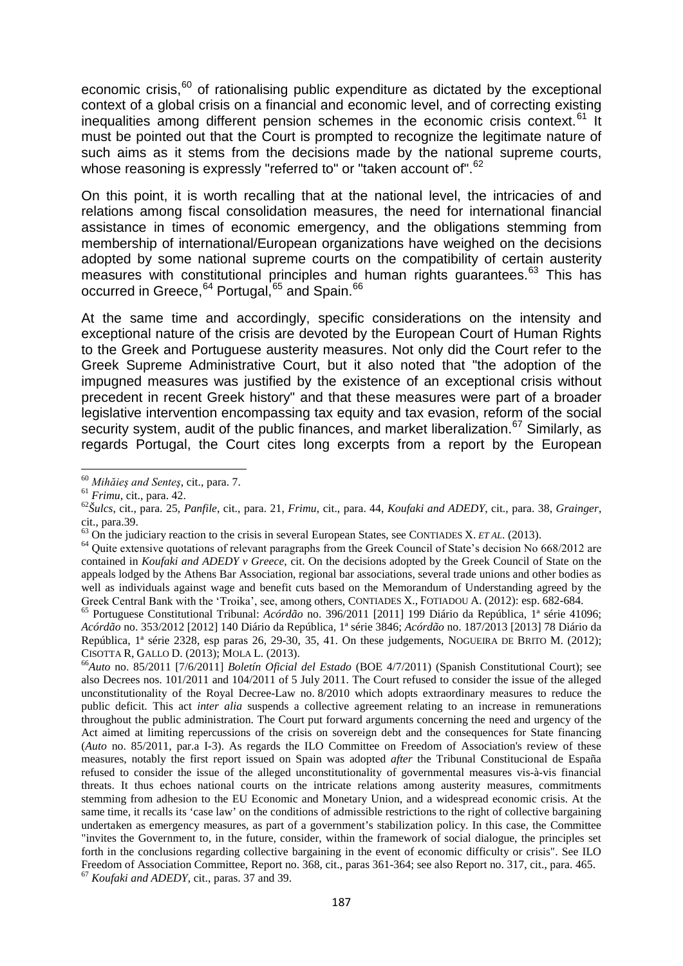economic crisis, $60$  of rationalising public expenditure as dictated by the exceptional context of a global crisis on a financial and economic level, and of correcting existing inequalities among different pension schemes in the economic crisis context.<sup>[61](#page-13-1)</sup> It must be pointed out that the Court is prompted to recognize the legitimate nature of such aims as it stems from the decisions made by the national supreme courts, whose reasoning is expressly "referred to" or "taken account of".<sup>[62](#page-13-2)</sup>

On this point, it is worth recalling that at the national level, the intricacies of and relations among fiscal consolidation measures, the need for international financial assistance in times of economic emergency, and the obligations stemming from membership of international/European organizations have weighed on the decisions adopted by some national supreme courts on the compatibility of certain austerity measures with constitutional principles and human rights guarantees.<sup>[63](#page-13-3)</sup> This has occurred in Greece, <sup>[64](#page-13-4)</sup> Portugal, <sup>[65](#page-13-5)</sup> and Spain. <sup>[66](#page-13-6)</sup>

At the same time and accordingly, specific considerations on the intensity and exceptional nature of the crisis are devoted by the European Court of Human Rights to the Greek and Portuguese austerity measures. Not only did the Court refer to the Greek Supreme Administrative Court, but it also noted that "the adoption of the impugned measures was justified by the existence of an exceptional crisis without precedent in recent Greek history" and that these measures were part of a broader legislative intervention encompassing tax equity and tax evasion, reform of the social security system, audit of the public finances, and market liberalization.<sup>[67](#page-13-7)</sup> Similarly, as regards Portugal, the Court cites long excerpts from a report by the European

<span id="page-13-2"></span><span id="page-13-1"></span>

<span id="page-13-0"></span><sup>&</sup>lt;sup>60</sup> Mihăieș and Senteș, cit., para. 7.<br><sup>61</sup> Frimu, cit., para. 42.<br><sup>62</sup> Šulcs, cit., para. 25, Panfile, cit., para. 21, Frimu, cit., para. 44, Koufaki and ADEDY, cit., para. 38, Grainger, cit., para.39.<br>
<sup>63</sup> On the iudiciary reaction to the crisis in several European States, see CONTIADES X. *ET AL*. (2013).

<span id="page-13-4"></span><span id="page-13-3"></span><sup>&</sup>lt;sup>64</sup> Quite extensive quotations of relevant paragraphs from the Greek Council of State's decision No 668/2012 are contained in *Koufaki and ADEDY v Greece*, cit. On the decisions adopted by the Greek Council of State on the appeals lodged by the Athens Bar Association, regional bar associations, several trade unions and other bodies as well as individuals against wage and benefit cuts based on the Memorandum of Understanding agreed by the Greek Central Bank with the 'Troika', see, among others, CONTIADES X., FOTIADOU A. (2012): esp. 682-684.

<span id="page-13-5"></span><sup>&</sup>lt;sup>65</sup> Portuguese Constitutional Tribunal: *Acórdão* no. 396/2011 [2011] 199 Diário da República, <sup>1ª</sup> série 41096; *Acórdão* no. 353/2012 [2012] 140 Diário da República, 1ª série 3846; *Acórdão* no. 187/2013 [2013] 78 Diário da República, 1<sup>ª</sup> série 2328, esp paras 26, 29-30, 35, 41. On these judgements, NOGUEIRA DE BRITO M. (2012); CISOTTA R, GALLO D. (2013); MOLA L. (2013). <sup>66</sup>*Auto* no. 85/2011 [7/6/2011] *Boletín Oficial del Estado* (BOE 4/7/2011) (Spanish Constitutional Court); see

<span id="page-13-7"></span><span id="page-13-6"></span>also Decrees nos. 101/2011 and 104/2011 of 5 July 2011. The Court refused to consider the issue of the alleged unconstitutionality of the Royal Decree-Law no. 8/2010 which adopts extraordinary measures to reduce the public deficit. This act *inter alia* suspends a collective agreement relating to an increase in remunerations throughout the public administration. The Court put forward arguments concerning the need and urgency of the Act aimed at limiting repercussions of the crisis on sovereign debt and the consequences for State financing (*Auto* no. 85/2011, par.a I-3). As regards the ILO Committee on Freedom of Association's review of these measures, notably the first report issued on Spain was adopted *after* the Tribunal Constitucional de España refused to consider the issue of the alleged unconstitutionality of governmental measures vis-à-vis financial threats. It thus echoes national courts on the intricate relations among austerity measures, commitments stemming from adhesion to the EU Economic and Monetary Union, and a widespread economic crisis. At the same time, it recalls its 'case law' on the conditions of admissible restrictions to the right of collective bargaining undertaken as emergency measures, as part of a government's stabilization policy. In this case, the Committee "invites the Government to, in the future, consider, within the framework of social dialogue, the principles set forth in the conclusions regarding collective bargaining in the event of economic difficulty or crisis". See ILO Freedom of Association Committee, Report no. 368, cit., paras 361-364; see also Report no. 317, cit., para. 465. <sup>67</sup> *Koufaki and ADEDY*, cit., paras. 37 and 39.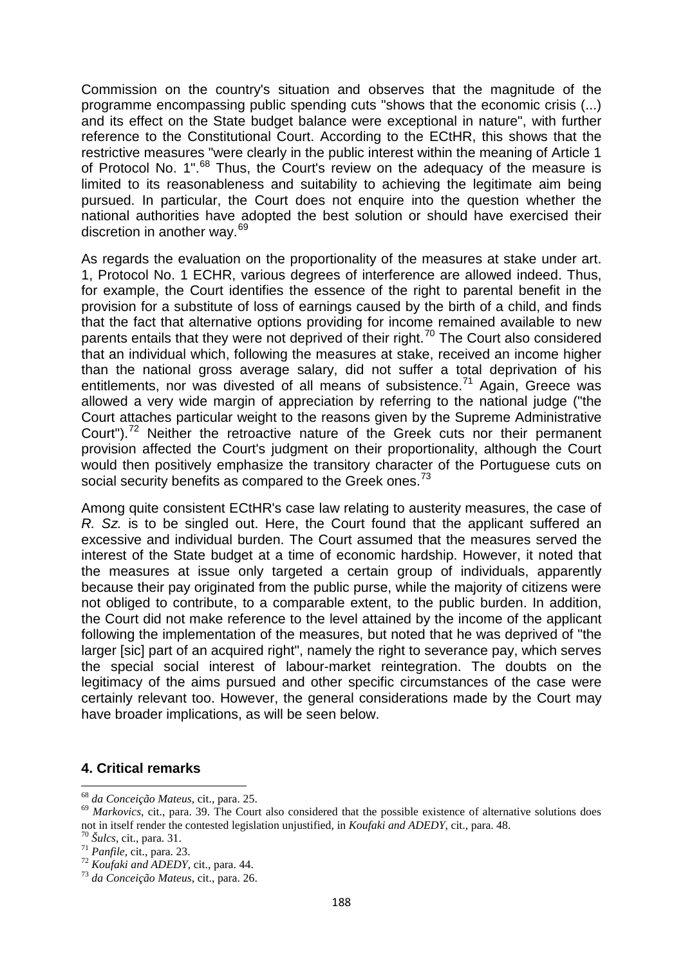Commission on the country's situation and observes that the magnitude of the programme encompassing public spending cuts "shows that the economic crisis (...) and its effect on the State budget balance were exceptional in nature", with further reference to the Constitutional Court. According to the ECtHR, this shows that the restrictive measures "were clearly in the public interest within the meaning of Article 1 of Protocol No. 1". $^{68}$  $^{68}$  $^{68}$  Thus, the Court's review on the adequacy of the measure is limited to its reasonableness and suitability to achieving the legitimate aim being pursued. In particular, the Court does not enquire into the question whether the national authorities have adopted the best solution or should have exercised their discretion in another way.<sup>[69](#page-14-1)</sup>

As regards the evaluation on the proportionality of the measures at stake under art. 1, Protocol No. 1 ECHR, various degrees of interference are allowed indeed. Thus, for example, the Court identifies the essence of the right to parental benefit in the provision for a substitute of loss of earnings caused by the birth of a child, and finds that the fact that alternative options providing for income remained available to new parents entails that they were not deprived of their right.<sup>[70](#page-14-2)</sup> The Court also considered that an individual which, following the measures at stake, received an income higher than the national gross average salary, did not suffer a total deprivation of his entitlements, nor was divested of all means of subsistence.<sup>[71](#page-14-3)</sup> Again, Greece was allowed a very wide margin of appreciation by referring to the national judge ("the Court attaches particular weight to the reasons given by the Supreme Administrative Court").<sup>[72](#page-14-4)</sup> Neither the retroactive nature of the Greek cuts nor their permanent provision affected the Court's judgment on their proportionality, although the Court would then positively emphasize the transitory character of the Portuguese cuts on social security benefits as compared to the Greek ones.<sup>[73](#page-14-5)</sup>

Among quite consistent ECtHR's case law relating to austerity measures, the case of *R. Sz.* is to be singled out. Here, the Court found that the applicant suffered an excessive and individual burden. The Court assumed that the measures served the interest of the State budget at a time of economic hardship. However, it noted that the measures at issue only targeted a certain group of individuals, apparently because their pay originated from the public purse, while the majority of citizens were not obliged to contribute, to a comparable extent, to the public burden. In addition, the Court did not make reference to the level attained by the income of the applicant following the implementation of the measures, but noted that he was deprived of "the larger [sic] part of an acquired right", namely the right to severance pay, which serves the special social interest of labour-market reintegration. The doubts on the legitimacy of the aims pursued and other specific circumstances of the case were certainly relevant too. However, the general considerations made by the Court may have broader implications, as will be seen below.

#### **4. Critical remarks**

<span id="page-14-1"></span><span id="page-14-0"></span><sup>68</sup> *da Conceição Mateus*, cit., para. 25. <sup>69</sup> *Markovics*, cit., para. 39. The Court also considered that the possible existence of alternative solutions does not in itself render the contested legislation unjustified, in *Koufaki and ADEDY*, cit., para. 48.<br><sup>70</sup> Šulcs, cit., para. 31.<br><sup>71</sup> Panfile, cit., para. 23.<br><sup>72</sup> Koufaki and ADEDY, cit., para. 44.<br><sup>73</sup> da Conceição Mateus

<span id="page-14-2"></span>

<span id="page-14-3"></span>

<span id="page-14-4"></span>

<span id="page-14-5"></span>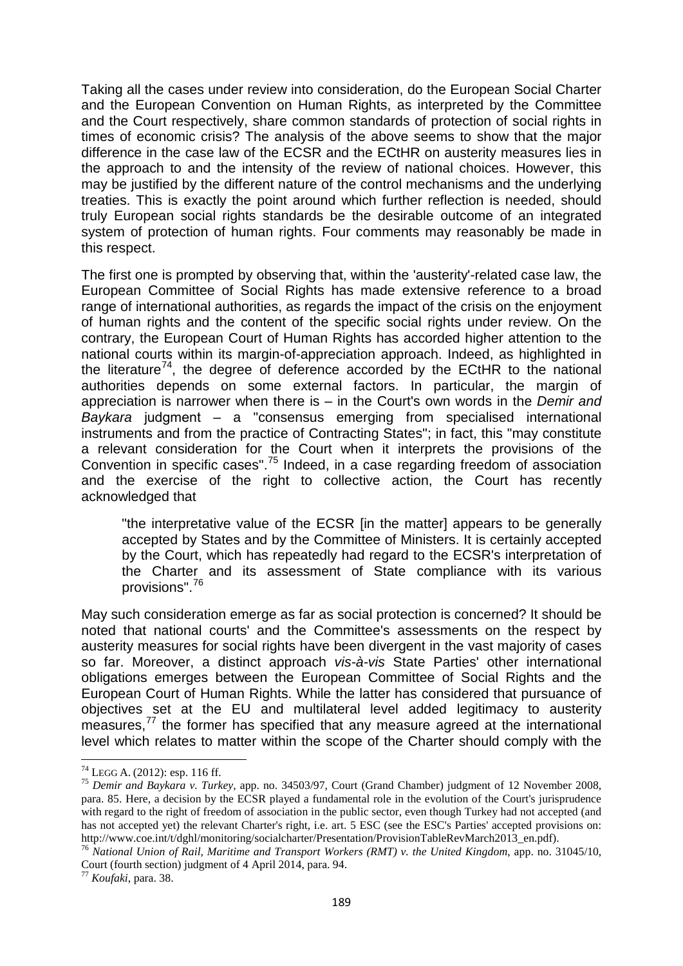Taking all the cases under review into consideration, do the European Social Charter and the European Convention on Human Rights, as interpreted by the Committee and the Court respectively, share common standards of protection of social rights in times of economic crisis? The analysis of the above seems to show that the major difference in the case law of the ECSR and the ECtHR on austerity measures lies in the approach to and the intensity of the review of national choices. However, this may be justified by the different nature of the control mechanisms and the underlying treaties. This is exactly the point around which further reflection is needed, should truly European social rights standards be the desirable outcome of an integrated system of protection of human rights. Four comments may reasonably be made in this respect.

The first one is prompted by observing that, within the 'austerity'-related case law, the European Committee of Social Rights has made extensive reference to a broad range of international authorities, as regards the impact of the crisis on the enjoyment of human rights and the content of the specific social rights under review. On the contrary, the European Court of Human Rights has accorded higher attention to the national courts within its margin-of-appreciation approach. Indeed, as highlighted in the literature<sup>[74](#page-15-0)</sup>, the degree of deference accorded by the ECtHR to the national authorities depends on some external factors. In particular, the margin of appreciation is narrower when there is ‒ in the Court's own words in the *Demir and Baykara* judgment – a "consensus emerging from specialised international instruments and from the practice of Contracting States"; in fact, this "may constitute a relevant consideration for the Court when it interprets the provisions of the Convention in specific cases".<sup>[75](#page-15-1)</sup> Indeed, in a case regarding freedom of association and the exercise of the right to collective action, the Court has recently acknowledged that

"the interpretative value of the ECSR [in the matter] appears to be generally accepted by States and by the Committee of Ministers. It is certainly accepted by the Court, which has repeatedly had regard to the ECSR's interpretation of the Charter and its assessment of State compliance with its various provisions". [76](#page-15-2)

May such consideration emerge as far as social protection is concerned? It should be noted that national courts' and the Committee's assessments on the respect by austerity measures for social rights have been divergent in the vast majority of cases so far. Moreover, a distinct approach *vis-à-vis* State Parties' other international obligations emerges between the European Committee of Social Rights and the European Court of Human Rights. While the latter has considered that pursuance of objectives set at the EU and multilateral level added legitimacy to austerity measures,<sup>[77](#page-15-3)</sup> the former has specified that any measure agreed at the international level which relates to matter within the scope of the Charter should comply with the

<span id="page-15-1"></span><span id="page-15-0"></span><sup>74</sup> LEGG A. (2012): esp. 116 ff. <sup>75</sup> *Demir and Baykara v. Turkey*, app. no. 34503/97, Court (Grand Chamber) judgment of 12 November 2008, para. 85. Here, a decision by the ECSR played a fundamental role in the evolution of the Court's jurisprudence with regard to the right of freedom of association in the public sector, even though Turkey had not accepted (and has not accepted yet) the relevant Charter's right, i.e. art. 5 ESC (see the ESC's Parties' accepted provisions on: http://www.coe.int/t/dghl/monitoring/socialcharter/Presentation/ProvisionTableRevMarch2013\_en.pdf).

<span id="page-15-2"></span><sup>76</sup> *National Union of Rail, Maritime and Transport Workers (RMT) v. the United Kingdom*, app. no. 31045/10, Court (fourth section) judgment of 4 April 2014, para. 94. <sup>77</sup> *Koufaki*, para. 38.

<span id="page-15-3"></span>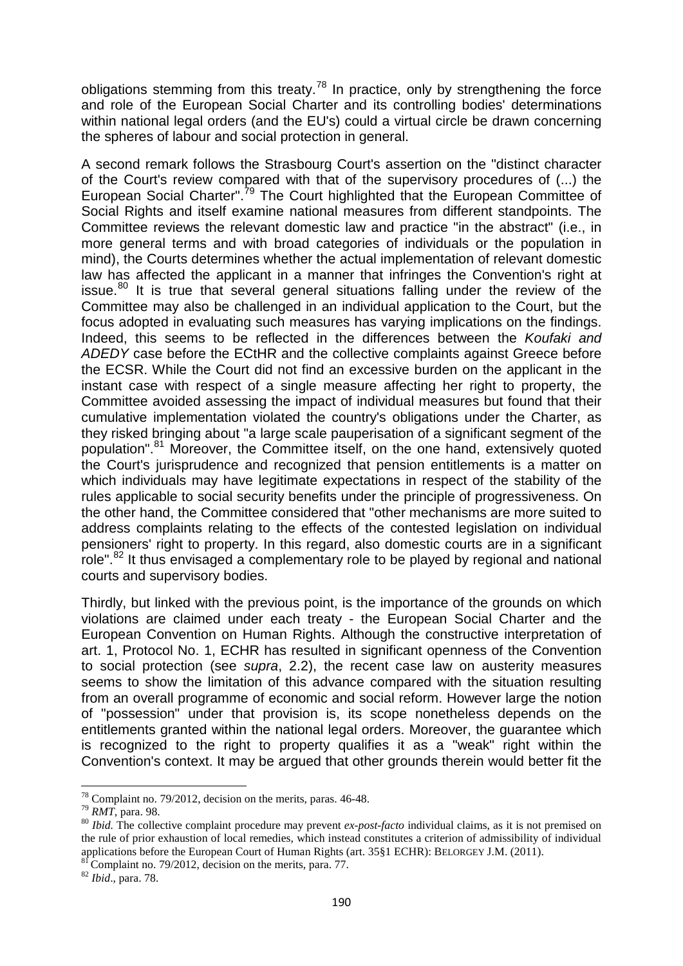obligations stemming from this treaty.<sup>[78](#page-16-0)</sup> In practice, only by strengthening the force and role of the European Social Charter and its controlling bodies' determinations within national legal orders (and the EU's) could a virtual circle be drawn concerning the spheres of labour and social protection in general.

A second remark follows the Strasbourg Court's assertion on the "distinct character of the Court's review compared with that of the supervisory procedures of (...) the European Social Charter".<sup>[79](#page-16-1)</sup> The Court highlighted that the European Committee of Social Rights and itself examine national measures from different standpoints. The Committee reviews the relevant domestic law and practice "in the abstract" (i.e., in more general terms and with broad categories of individuals or the population in mind), the Courts determines whether the actual implementation of relevant domestic law has affected the applicant in a manner that infringes the Convention's right at issue.<sup>[80](#page-16-2)</sup> It is true that several general situations falling under the review of the Committee may also be challenged in an individual application to the Court, but the focus adopted in evaluating such measures has varying implications on the findings. Indeed, this seems to be reflected in the differences between the *Koufaki and ADEDY* case before the ECtHR and the collective complaints against Greece before the ECSR. While the Court did not find an excessive burden on the applicant in the instant case with respect of a single measure affecting her right to property, the Committee avoided assessing the impact of individual measures but found that their cumulative implementation violated the country's obligations under the Charter, as they risked bringing about "a large scale pauperisation of a significant segment of the population".<sup>[81](#page-16-3)</sup> Moreover, the Committee itself, on the one hand, extensively quoted the Court's jurisprudence and recognized that pension entitlements is a matter on which individuals may have legitimate expectations in respect of the stability of the rules applicable to social security benefits under the principle of progressiveness. On the other hand, the Committee considered that "other mechanisms are more suited to address complaints relating to the effects of the contested legislation on individual pensioners' right to property. In this regard, also domestic courts are in a significant role".<sup>[82](#page-16-4)</sup> It thus envisaged a complementary role to be played by regional and national courts and supervisory bodies.

Thirdly, but linked with the previous point, is the importance of the grounds on which violations are claimed under each treaty - the European Social Charter and the European Convention on Human Rights. Although the constructive interpretation of art. 1, Protocol No. 1, ECHR has resulted in significant openness of the Convention to social protection (see *supra*, 2.2), the recent case law on austerity measures seems to show the limitation of this advance compared with the situation resulting from an overall programme of economic and social reform. However large the notion of "possession" under that provision is, its scope nonetheless depends on the entitlements granted within the national legal orders. Moreover, the guarantee which is recognized to the right to property qualifies it as a "weak" right within the Convention's context. It may be argued that other grounds therein would better fit the

<span id="page-16-2"></span><span id="page-16-1"></span>

<span id="page-16-0"></span><sup>&</sup>lt;sup>78</sup> Complaint no. 79/2012, decision on the merits, paras. 46-48.<br><sup>79</sup> *RMT*, para. 98.<br><sup>80</sup> *Ibid*. The collective complaint procedure may prevent *ex-post-facto* individual claims, as it is not premised on the rule of prior exhaustion of local remedies, which instead constitutes a criterion of admissibility of individual applications before the European Court of Human Rights (art. 35§1 ECHR): BELORGEY J.M. (2011). <sup>81</sup> Complaint no. 79/2012, decision on the merits, para. 77. <sup>82</sup> *Ibid.*, para. 78.

<span id="page-16-3"></span>

<span id="page-16-4"></span>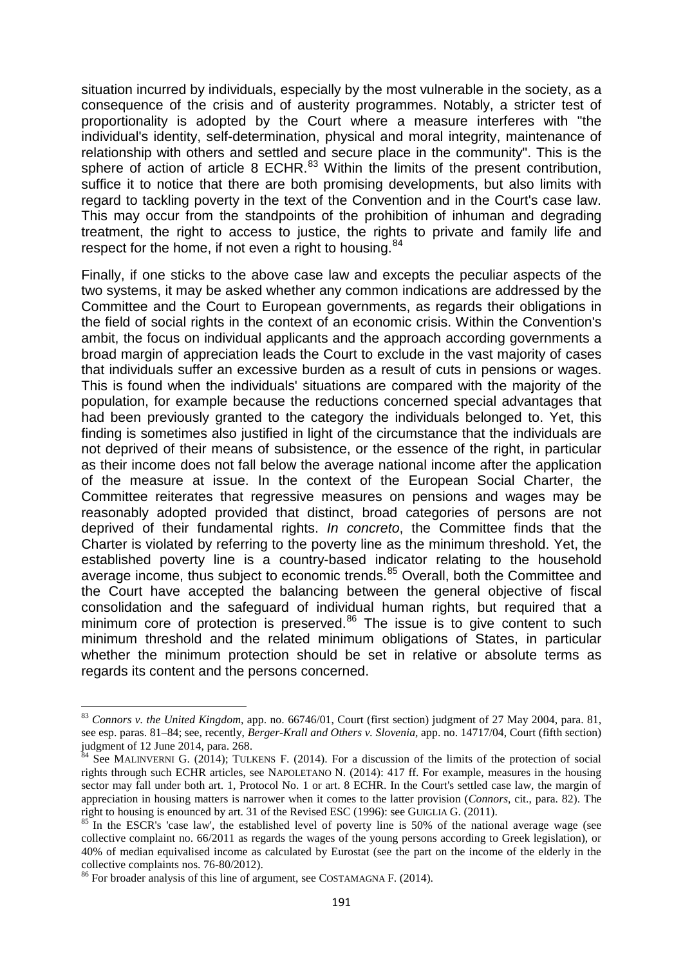situation incurred by individuals, especially by the most vulnerable in the society, as a consequence of the crisis and of austerity programmes. Notably, a stricter test of proportionality is adopted by the Court where a measure interferes with "the individual's identity, self-determination, physical and moral integrity, maintenance of relationship with others and settled and secure place in the community". This is the sphere of action of article 8 ECHR. $^{83}$  $^{83}$  $^{83}$  Within the limits of the present contribution, suffice it to notice that there are both promising developments, but also limits with regard to tackling poverty in the text of the Convention and in the Court's case law. This may occur from the standpoints of the prohibition of inhuman and degrading treatment, the right to access to justice, the rights to private and family life and respect for the home, if not even a right to housing.<sup>[84](#page-17-1)</sup>

Finally, if one sticks to the above case law and excepts the peculiar aspects of the two systems, it may be asked whether any common indications are addressed by the Committee and the Court to European governments, as regards their obligations in the field of social rights in the context of an economic crisis. Within the Convention's ambit, the focus on individual applicants and the approach according governments a broad margin of appreciation leads the Court to exclude in the vast majority of cases that individuals suffer an excessive burden as a result of cuts in pensions or wages. This is found when the individuals' situations are compared with the majority of the population, for example because the reductions concerned special advantages that had been previously granted to the category the individuals belonged to. Yet, this finding is sometimes also justified in light of the circumstance that the individuals are not deprived of their means of subsistence, or the essence of the right, in particular as their income does not fall below the average national income after the application of the measure at issue. In the context of the European Social Charter, the Committee reiterates that regressive measures on pensions and wages may be reasonably adopted provided that distinct, broad categories of persons are not deprived of their fundamental rights. *In concreto*, the Committee finds that the Charter is violated by referring to the poverty line as the minimum threshold. Yet, the established poverty line is a country-based indicator relating to the household average income, thus subject to economic trends.<sup>[85](#page-17-2)</sup> Overall, both the Committee and the Court have accepted the balancing between the general objective of fiscal consolidation and the safeguard of individual human rights, but required that a minimum core of protection is preserved.<sup>[86](#page-17-3)</sup> The issue is to give content to such minimum threshold and the related minimum obligations of States, in particular whether the minimum protection should be set in relative or absolute terms as regards its content and the persons concerned.

<span id="page-17-0"></span><sup>83</sup> *Connors v. the United Kingdom*, app. no. 66746/01, Court (first section) judgment of 27 May 2004, para. 81, see esp. paras. 81–84; see, recently, *Berger-Krall and Others v. Slovenia*, app. no. 14717/04, Court (fifth section) judgment of 12 June 2014, para. 268.

<span id="page-17-1"></span> $84$  See MALINVERNI G. (2014); TULKENS F. (2014). For a discussion of the limits of the protection of social rights through such ECHR articles, see NAPOLETANO N. (2014): 417 ff. For example, measures in the housing sector may fall under both art. 1, Protocol No. 1 or art. 8 ECHR. In the Court's settled case law, the margin of appreciation in housing matters is narrower when it comes to the latter provision (*Connors*, cit., para. 82). The right to housing is enounced by art. 31 of the Revised ESC (1996): see GUIGLIA G. (2011).

<span id="page-17-2"></span> $85$  In the ESCR's 'case law', the established level of poverty line is 50% of the national average wage (see collective complaint no. 66/2011 as regards the wages of the young persons according to Greek legislation), or 40% of median equivalised income as calculated by Eurostat (see the part on the income of the elderly in the collective complaints nos. 76-80/2012).<br><sup>86</sup> For broader analysis of this line of argument, see COSTAMAGNA F. (2014).

<span id="page-17-3"></span>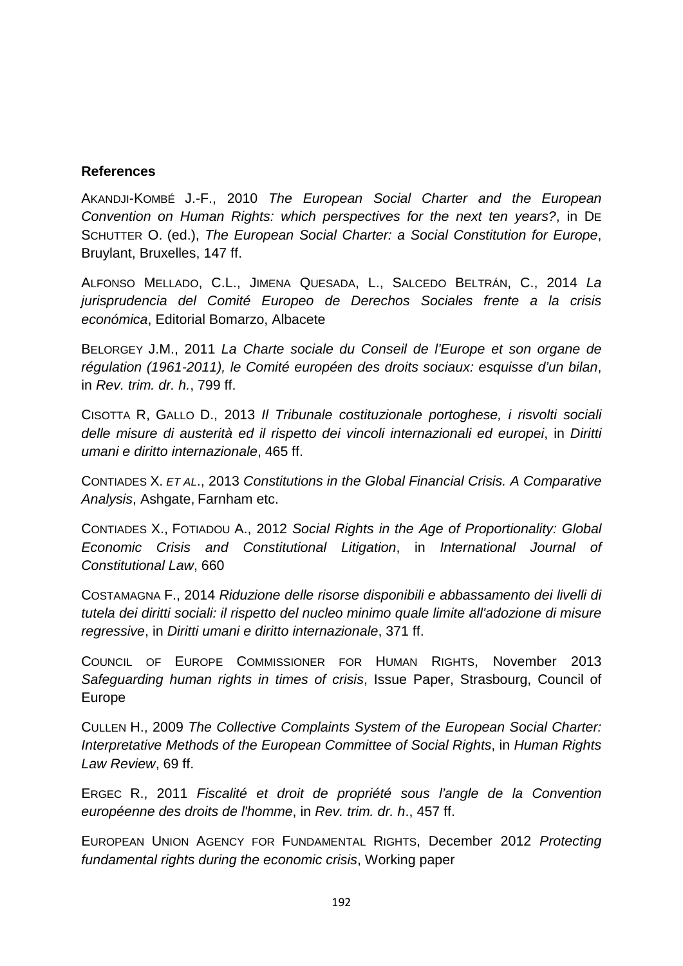#### **References**

AKANDJI-KOMBÉ J.-F., 2010 *The European Social Charter and the European Convention on Human Rights: which perspectives for the next ten years?*, in DE SCHUTTER O. (ed.), *The European Social Charter: a Social Constitution for Europe*, Bruylant, Bruxelles, 147 ff.

ALFONSO MELLADO, C.L., JIMENA QUESADA, L., SALCEDO BELTRÁN, C., 2014 *La jurisprudencia del Comité Europeo de Derechos Sociales frente a la crisis económica*, Editorial Bomarzo, Albacete

BELORGEY J.M., 2011 *La Charte sociale du Conseil de l'Europe et son organe de régulation (1961-2011), le Comité européen des droits sociaux: esquisse d'un bilan*, in *Rev. trim. dr. h.*, 799 ff.

CISOTTA R, GALLO D., 2013 *Il Tribunale costituzionale portoghese, i risvolti sociali delle misure di austerità ed il rispetto dei vincoli internazionali ed europei*, in *Diritti umani e diritto internazionale*, 465 ff.

CONTIADES X. *ET AL*., 2013 *Constitutions in the Global Financial Crisis. A Comparative Analysis*, Ashgate, Farnham etc.

CONTIADES X., FOTIADOU A., 2012 *Social Rights in the Age of Proportionality: Global Economic Crisis and Constitutional Litigation*, in *International Journal of Constitutional Law*, 660

COSTAMAGNA F., 2014 *Riduzione delle risorse disponibili e abbassamento dei livelli di tutela dei diritti sociali: il rispetto del nucleo minimo quale limite all'adozione di misure regressive*, in *Diritti umani e diritto internazionale*, 371 ff.

COUNCIL OF EUROPE COMMISSIONER FOR HUMAN RIGHTS, November 2013 *Safeguarding human rights in times of crisis*, Issue Paper, Strasbourg, Council of Europe

CULLEN H., 2009 *The Collective Complaints System of the European Social Charter: Interpretative Methods of the European Committee of Social Rights*, in *Human Rights Law Review*, 69 ff.

ERGEC R., 2011 *Fiscalité et droit de propriété sous l'angle de la Convention européenne des droits de l'homme*, in *Rev. trim. dr. h*., 457 ff.

EUROPEAN UNION AGENCY FOR FUNDAMENTAL RIGHTS, December 2012 *Protecting fundamental rights during the economic crisis*, Working paper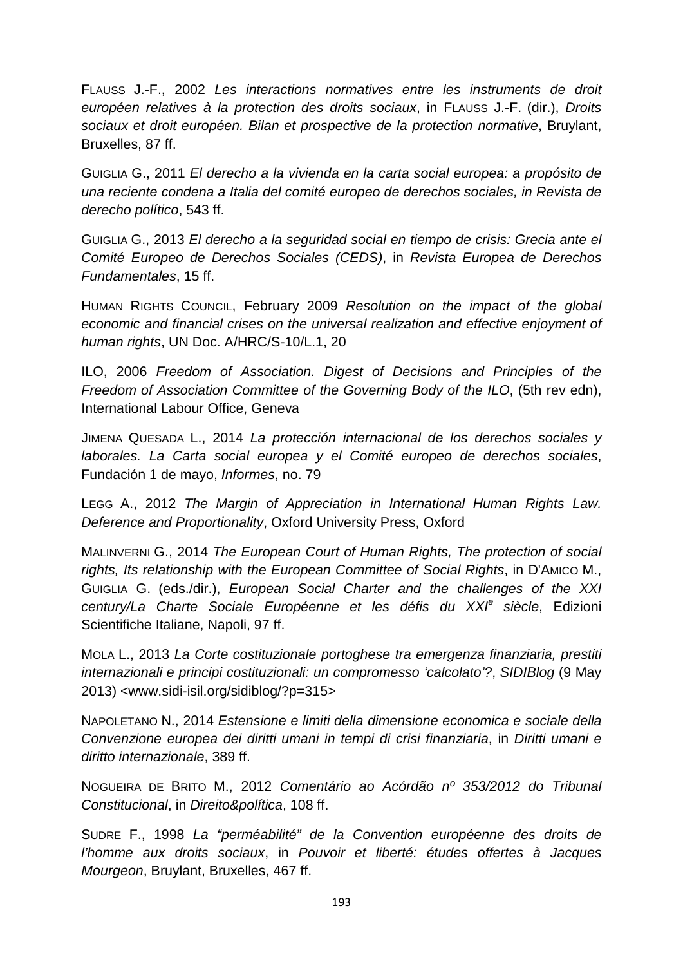FLAUSS J.-F., 2002 *Les interactions normatives entre les instruments de droit européen relatives à la protection des droits sociaux*, in FLAUSS J.-F. (dir.), *Droits sociaux et droit européen. Bilan et prospective de la protection normative*, Bruylant, Bruxelles, 87 ff.

GUIGLIA G., 2011 *El derecho a la vivienda en la carta social europea: a propósito de una reciente condena a Italia del comité europeo de derechos sociales, in Revista de derecho político*, 543 ff.

GUIGLIA G., 2013 *El derecho a la seguridad social en tiempo de crisis: Grecia ante el Comité Europeo de Derechos Sociales (CEDS)*, in *Revista Europea de Derechos Fundamentales*, 15 ff.

HUMAN RIGHTS COUNCIL, February 2009 *Resolution on the impact of the global economic and financial crises on the universal realization and effective enjoyment of human rights*, UN Doc. A/HRC/S-10/L.1, 20

ILO, 2006 *Freedom of Association. Digest of Decisions and Principles of the Freedom of Association Committee of the Governing Body of the ILO*, (5th rev edn), International Labour Office, Geneva

JIMENA QUESADA L., 2014 *La protección internacional de los derechos sociales y laborales. La Carta social europea y el Comité europeo de derechos sociales*, Fundación 1 de mayo, *Informes*, no. 79

LEGG A., 2012 *The Margin of Appreciation in International Human Rights Law. Deference and Proportionality*, Oxford University Press, Oxford

MALINVERNI G., 2014 *The European Court of Human Rights, The protection of social rights, Its relationship with the European Committee of Social Rights*, in D'AMICO M., GUIGLIA G. (eds./dir.), *European Social Charter and the challenges of the XXI century/La Charte Sociale Européenne et les défis du XXI<sup>e</sup> siècle*, Edizioni Scientifiche Italiane, Napoli, 97 ff.

MOLA L., 2013 *La Corte costituzionale portoghese tra emergenza finanziaria, prestiti internazionali e principi costituzionali: un compromesso 'calcolato'?*, *SIDIBlog* (9 May 2013) <www.sidi-isil.org/sidiblog/?p=315>

NAPOLETANO N., 2014 *Estensione e limiti della dimensione economica e sociale della Convenzione europea dei diritti umani in tempi di crisi finanziaria*, in *Diritti umani e diritto internazionale*, 389 ff.

NOGUEIRA DE BRITO M., 2012 *Comentário ao Acórdão nº 353/2012 do Tribunal Constitucional*, in *Direito&política*, 108 ff.

SUDRE F., 1998 *La "perméabilité" de la Convention européenne des droits de l'homme aux droits sociaux*, in *Pouvoir et liberté: études offertes à Jacques Mourgeon*, Bruylant, Bruxelles, 467 ff.